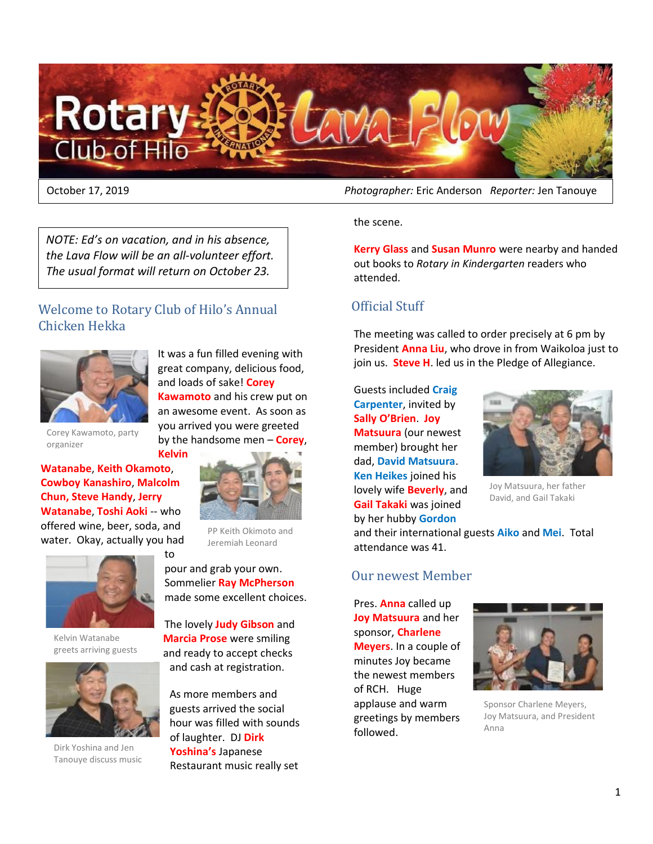

*NOTE: Ed's on vacation, and in his absence, the Lava Flow will be an all-volunteer effort. The usual format will return on October 23.*

## Welcome to Rotary Club of Hilo's Annual Chicken Hekka

to



It was a fun filled evening with great company, delicious food, and loads of sake! **Corey Kawamoto** and his crew put on an awesome event. As soon as you arrived you were greeted by the handsome men – **Corey**, **Kelvin**

Corey Kawamoto, party organizer

**Watanabe**, **Keith Okamoto**, **Cowboy Kanashiro**, **Malcolm Chun, Steve Handy**, **Jerry Watanabe**, **Toshi Aoki** -- who offered wine, beer, soda, and water. Okay, actually you had



Kelvin Watanabe greets arriving guests



Dirk Yoshina and Jen Tanouye discuss music

PP Keith Okimoto and Jeremiah Leonard

pour and grab your own. Sommelier **Ray McPherson** made some excellent choices.

The lovely **Judy Gibson** and **Marcia Prose** were smiling and ready to accept checks and cash at registration.

As more members and guests arrived the social hour was filled with sounds of laughter. DJ **Dirk Yoshina's** Japanese Restaurant music really set

October 17, 2019 *Photographer:* Eric Anderson *Reporter:* Jen Tanouye

the scene.

**Kerry Glass** and **Susan Munro** were nearby and handed out books to *Rotary in Kindergarten* readers who attended.

## Official Stuff

The meeting was called to order precisely at 6 pm by President **Anna Liu**, who drove in from Waikoloa just to join us. **Steve H**. led us in the Pledge of Allegiance.

Guests included **Craig Carpenter**, invited by **Sally O'Brien**. **Joy Matsuura** (our newest member) brought her dad, **David Matsuura**. **Ken Heikes** joined his lovely wife **Beverly**, and **Gail Takaki** was joined by her hubby **Gordon** 



Joy Matsuura, her father David, and Gail Takaki

and their international guests **Aiko** and **Mei**. Total attendance was 41.

## Our newest Member

Pres. **Anna** called up **Joy Matsuura** and her sponsor, **Charlene Meyers**. In a couple of minutes Joy became the newest members of RCH. Huge applause and warm greetings by members followed.



Sponsor Charlene Meyers, Joy Matsuura, and President Anna